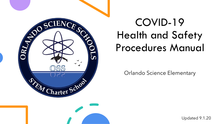

# COVID-19 Health and Safety Procedures Manual

Orlando Science Elementary

Updated 9.1.20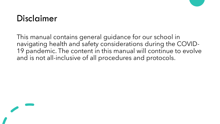### Disclaimer

This manual contains general guidance for our school in navigating health and safety considerations during the COVID-19 pandemic. The content in this manual will continue to evolve and is not all-inclusive of all procedures and protocols.

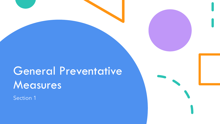# General Preventative Measures

Section 1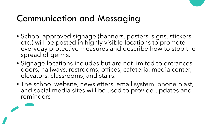### Communication and Messaging

- School approved signage (banners, posters, signs, stickers, etc.) will be posted in highly visible locations to promote everyday protective measures and describe how to stop the spread of germs.
- Signage locations includes but are not limited to entrances, doors, hallways, restrooms, offices, cafeteria, media center, elevators, classrooms, and stairs.
- The school website, newsletters, email system, phone blast, and social media sites will be used to provide updates and reminders

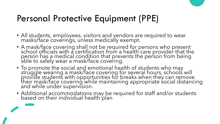### Personal Protective Equipment (PPE)

- All students, employees, visitors and vendors are required to wear masks/face coverings, unless medically exempt.
- A mask/face covering shall not be required for persons who present school officials with a certification from a health care provider that the person has a medical condition that prevents the person from being able to safely wear a mask/face covering.
- To promote the social and emotional health of students who may struggle wearing a mask/face covering for several hours, schools will provide students with opportunities for breaks when they can remove their mask/face covering while maintaining appropriate social distancing and while under supervision.
- Additional accommodations may be required for staff and/or students based on their individual health plan

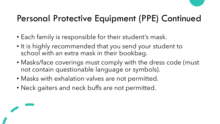# Personal Protective Equipment (PPE) Continued

- Each family is responsible for their student's mask.
- It is highly recommended that you send your student to school with an extra mask in their bookbag.
- Masks/face coverings must comply with the dress code (must not contain questionable language or symbols).
- Masks with exhalation valves are not permitted.
- Neck gaiters and neck buffs are not permitted.

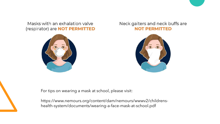Masks with an exhalation valve (respirator) are **NOT PERMITTED** 



#### Neck gaiters and neck buffs are **NOT PERMITTED**



For tips on wearing a mask at school, please visit:

https://www.nemours.org/content/dam/nemours/wwwv2/childrenshealth-system/documents/wearing-a-face-mask-at-school.pdf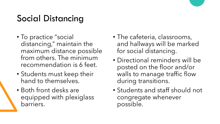# Social Distancing

- To practice "social distancing," maintain the maximum distance possible from others. The minimum recommendation is 6 feet.
- Students must keep their hand to themselves.
- Both front desks are equipped with plexiglass barriers.
- The cafeteria, classrooms, and hallways will be marked for social distancing.
- Directional reminders will be posted on the floor and/or walls to manage traffic flow during transitions.
- Students and staff should not congregate whenever possible.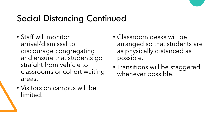### Social Distancing Continued

- Staff will monitor arrival/dismissal to discourage congregating and ensure that students go straight from vehicle to classrooms or cohort waiting areas.
- Visitors on campus will be limited.
- Classroom desks will be arranged so that students are as physically distanced as possible.
- Transitions will be staggered whenever possible.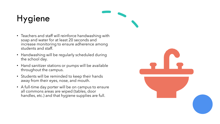# Hygiene

- Teachers and staff will reinforce handwashing with soap and water for at least 20 seconds and increase monitoring to ensure adherence among students and staff.
- Handwashing will be regularly scheduled during the school day.
- Hand sanitizer stations or pumps will be available throughout the campus.
- Students will be reminded to keep their hands away from their eyes, nose, and mouth.
- A full-time day porter will be on campus to ensure all commons areas are wiped (tables, door handles, etc.) and that hygiene supplies are full.

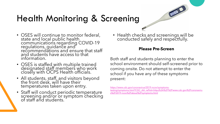## Health Monitoring & Screening

- OSES will continue to monitor federal, state and local public health communications regarding COVID-19 regulations, guidance and recommendations and ensure that staff and students have access to that information.
- OSES is staffed with multiple trained designated staff members who work closely with OCPS Health officials.
- All students, staff, and visitors beyond the front desk, will have their temperatures taken upon entry.
- Staff will conduct periodic temperature screening and/or or symptom checking of staff and students.

• Health checks and screenings will be conducted safely and respectfully.

#### **Please Pre-Screen**

Both staff and students planning to enter the school environment should self-screened prior to coming onsite. Do not attempt to enter the school if you have any of these symptoms present:

https://www.cdc.gov/coronavirus/2019-ncov/symptoms[testing/symptoms.html?CDC\\_AA\\_refVal=https%3A%2F%2Fwww.cdc.gov%2Fcoronaviru](https://www.cdc.gov/coronavirus/2019-ncov/symptoms-testing/symptoms.html?CDC_AA_refVal=https%3A%2F%2Fwww.cdc.gov%2Fcoronavirus%2F2019-ncov%2Fabout%2Fsymptoms.html) s%2F2019-ncov%2Fabout%2Fsymptoms.html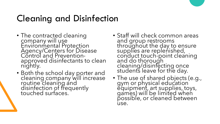# Cleaning and Disinfection

- The contracted cleaning company will use Environmental Protection Agency/Centers for Disease Control and Preventionapproved disinfectants to clean nightly.
- Both the school day porter and cleaning company will increase routine cleaning and disinfection of frequently touched surfaces.
- Staff will check common areas and group restrooms throughout the day to ensure supplies are replenished, conduct touch-point cleaning and do thorough cleaning/disinfecting once students leave for the day.
- The use of shared objects (e.g., gym or physical education<sup>'</sup> equipment, art supplies, toys, games) will be limited when possible, or cleaned between use.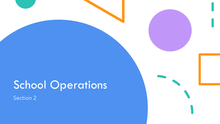# School Operations

Section 2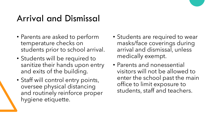### Arrival and Dismissal

- Parents are asked to perform temperature checks on students prior to school arrival.
- Students will be required to sanitize their hands upon entry and exits of the building.
- Staff will control entry points, oversee physical distancing and routinely reinforce proper hygiene etiquette.
- Students are required to wear masks/face coverings during arrival and dismissal, unless medically exempt.
- Parents and nonessential visitors will not be allowed to enter the school past the main office to limit exposure to students, staff and teachers.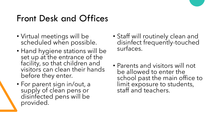### Front Desk and Offices

- Virtual meetings will be scheduled when possible.
- Hand hygiene stations will be set up at the entrance of the facility, so that children and visitors can clean their hands before they enter.
- For parent sign in/out, a supply of clean pens or disinfected pens will be provided.
- Staff will routinely clean and disinfect frequently-touched surfaces.
- Parents and visitors will not be allowed to enter the school past the main office to limit exposure to students, staff and teachers.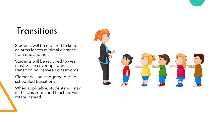### Transitions

Students will be required to keep an arms length minimal distance from one another.

Students will be required to wear masks/face coverings when transitioning between classrooms.

Classes will be staggered during scheduled transitions

When applicable, students will stay in the classroom and teachers will rotate instead.

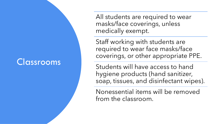### Classrooms

All students are required to wear masks/face coverings, unless medically exempt.

Staff working with students are required to wear face masks/face coverings, or other appropriate PPE.

Students will have access to hand hygiene products (hand sanitizer, soap, tissues, and disinfectant wipes).

Nonessential items will be removed from the classroom.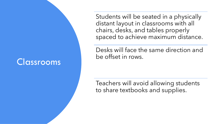### Classrooms

Students will be seated in a physically distant layout in classrooms with all chairs, desks, and tables properly spaced to achieve maximum distance.

Desks will face the same direction and be offset in rows.

Teachers will avoid allowing students to share textbooks and supplies.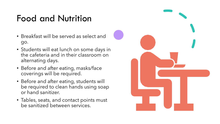### Food and Nutrition

- Breakfast will be served as select and go.
- Students will eat lunch on some days in the cafeteria and in their classroom on alternating days.
- Before and after eating, masks/face coverings will be required.
- Before and after eating, students will be required to clean hands using soap or hand sanitizer.
- Tables, seats, and contact points must be sanitized between services.

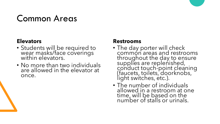### Common Areas

#### **Elevators**

- Students will be required to wear masks/face coverings within elevators.
- No more than two individuals are allowed in the elevator at once.

#### **Restrooms**

- The day porter will check common areas and restrooms throughout the day to ensure supplies are replenished, conduct touch-point cleaning (faucets, toilets, doorknobs, light switches, etc.).
- The number of individuals allowed in a restroom at one time, will be based on the number of stalls or urinals.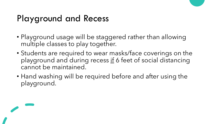## Playground and Recess

- Playground usage will be staggered rather than allowing multiple classes to play together.
- Students are required to wear masks/face coverings on the playground and during recess if 6 feet of social distancing cannot be maintained.
- Hand washing will be required before and after using the playground.

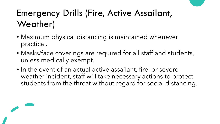## Emergency Drills (Fire, Active Assailant, Weather)

- Maximum physical distancing is maintained whenever practical.
- Masks/face coverings are required for all staff and students, unless medically exempt.
- In the event of an actual active assailant, fire, or severe weather incident, staff will take necessary actions to protect students from the threat without regard for social distancing.

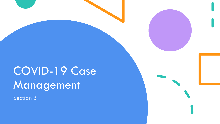# COVID-19 Case Management

Section 3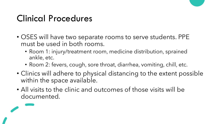### Clinical Procedures

- OSES will have two separate rooms to serve students. PPE must be used in both rooms.
	- Room 1: injury/treatment room, medicine distribution, sprained ankle, etc.
	- Room 2: fevers, cough, sore throat, diarrhea, vomiting, chill, etc.
- Clinics will adhere to physical distancing to the extent possible within the space available.
- All visits to the clinic and outcomes of those visits will be documented.

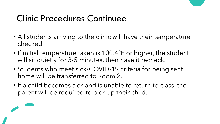### Clinic Procedures Continued

- All students arriving to the clinic will have their temperature checked.
- If initial temperature taken is 100.4°F or higher, the student will sit quietly for 3-5 minutes, then have it recheck.
- Students who meet sick/COVID-19 criteria for being sent home will be transferred to Room 2.
- If a child becomes sick and is unable to return to class, the parent will be required to pick up their child.

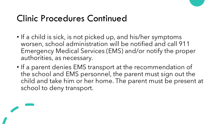### Clinic Procedures Continued

- If a child is sick, is not picked up, and his/her symptoms worsen, school administration will be notified and call 911 Emergency Medical Services (EMS) and/or notify the proper authorities, as necessary.
- If a parent denies EMS transport at the recommendation of the school and EMS personnel, the parent must sign out the child and take him or her home. The parent must be present at school to deny transport.

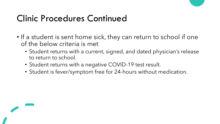### Clinic Procedures Continued

- If a student is sent home sick, they can return to school if one of the below criteria is met
	- Student returns with a current, signed, and dated physician's release to return to school.
	- Student returns with a negative COVID-19 test result.
	- Student is fever/symptom free for 24-hours without medication.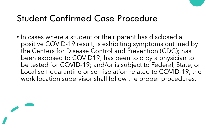### Student Confirmed Case Procedure

• In cases where a student or their parent has disclosed a positive COVID-19 result, is exhibiting symptoms outlined by the Centers for Disease Control and Prevention (CDC); has been exposed to COVID19; has been told by a physician to be tested for COVID-19; and/or is subject to Federal, State, or Local self-quarantine or self-isolation related to COVID-19, the work location supervisor shall follow the proper procedures.

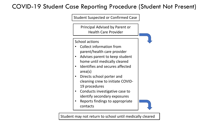### COVID-19 Student Case Reporting Procedure (Student Not Present)

Student Suspected or Confirmed Case Principal Advised by Parent or Health Care Provider School actions • Collect information from parent/health care provider • Advises parent to keep student home until medically cleared • Identifies and secures affected area(s) • Directs school porter and cleaning crew to initiate COVID-19 procedures • Conducts investigative case to identify secondary exposures • Reports findings to appropriate contacts

Student may not return to school until medically cleared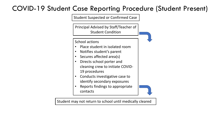### COVID-19 Student Case Reporting Procedure (Student Present)

Student Suspected or Confirmed Case

Principal Advised by Staff/Teacher of Student Condition

School actions

- Place student in isolated room
- Notifies student's parent
- Secures affected area(s)
- Directs school porter and cleaning crew to initiate COVID-19 procedures
- Conducts investigative case to identify secondary exposures
- Reports findings to appropriate contacts

Student may not return to school until medically cleared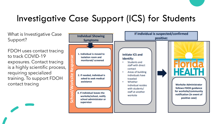## Investigative Case Support (ICS) for Students

What is Investigative Case Support?

FDOH uses contact tracing to track COVID-19 exposures. Contact tracing is a highly scientific process, requiring specialized training. To support FDOH contact tracing

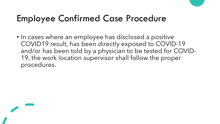### Employee Confirmed Case Procedure

• In cases where an employee has disclosed a positive COVID19 result, has been directly exposed to COVID-19 and/or has been told by a physician to be tested for COVID-19, the work location supervisor shall follow the proper procedures.

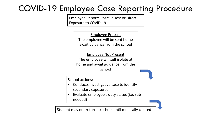### COVID-19 Employee Case Reporting Procedure

Employee Reports Positive Test or Direct Exposure to COVID-19

> Employee Present The employee will be sent home await guidance from the school

Employee Not Present The employee will self isolate at home and await guidance from the school

School actions:

- Conducts investigative case to identify secondary exposures
- Evaluate employee's duty status (i.e. sub needed)

Student may not return to school until medically cleared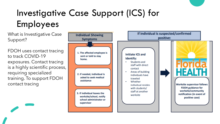# Investigative Case Support (ICS) for Employees

What is Investigative Case Support?

FDOH uses contact tracing to track COVID-19 exposures. Contact tracing is a highly scientific process, requiring specialized training. To support FDOH contact tracing

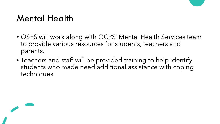### Mental Health

- OSES will work along with OCPS' Mental Health Services team to provide various resources for students, teachers and parents.
- Teachers and staff will be provided training to help identify students who made need additional assistance with coping techniques.

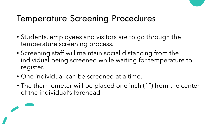### Temperature Screening Procedures

- Students, employees and visitors are to go through the temperature screening process.
- Screening staff will maintain social distancing from the individual being screened while waiting for temperature to register.
- One individual can be screened at a time.
- The thermometer will be placed one inch (1") from the center of the individual's forehead

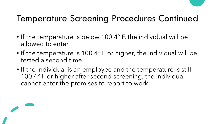## Temperature Screening Procedures Continued

- If the temperature is below 100.4° F, the individual will be allowed to enter.
- If the temperature is 100.4° F or higher, the individual will be tested a second time.
- If the individual is an employee and the temperature is still 100.4° F or higher after second screening, the individual cannot enter the premises to report to work.

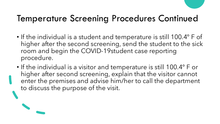### Temperature Screening Procedures Continued

- If the individual is a student and temperature is still 100.4° F of higher after the second screening, send the student to the sick room and begin the COVID-19student case reporting procedure.
- If the individual is a visitor and temperature is still 100.4° F or higher after second screening, explain that the visitor cannot enter the premises and advise him/her to call the department to discuss the purpose of the visit.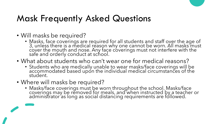- Will masks be required?
	- Masks, face coverings are required for all students and staff over the age of 3, unless there is a medical reason why one cannot be worn. All masks must cover the mouth and nose. Any face coverings must not interfere with the safe and orderly conduct at school.
- What about students who can't wear one for medical reasons?
	- Students who are medically unable to wear masks/face coverings will be accommodated based upon the individual medical circumstances of the student.
- Where will masks be required?
	- Masks/face coverings must be worn throughout the school. Masks/face coverings may be removed for meals, and when instructed by a teacher or administrator as long as social distancing requirements are followed.

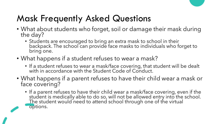- What about students who forget, soil or damage their mask during the day?
	- Students are encouraged to bring an extra mask to school in their backpack. The school can provide face masks to individuals who forget to bring one.
- What happens if a student refuses to wear a mask?
	- If a student refuses to wear a mask/face covering, that student will be dealt with in accordance with the Student Code of Conduct.
- What happens if a parent refuses to have their child wear a mask or face covering?
	- If a parent refuses to have their child wear a mask/face covering, even if the student is medically able to do so, will not be allowed entry into the school. The student would need to attend school through one of the virtual options.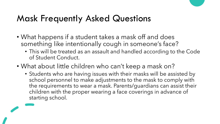- What happens if a student takes a mask off and does something like intentionally cough in someone's face?
	- This will be treated as an assault and handled according to the Code of Student Conduct.
- What about little children who can't keep a mask on?
	- Students who are having issues with their masks will be assisted by school personnel to make adjustments to the mask to comply with the requirements to wear a mask. Parents/guardians can assist their children with the proper wearing a face coverings in advance of starting school.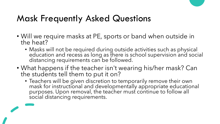- Will we require masks at PE, sports or band when outside in the heat?
	- Masks will not be required during outside activities such as physical education and recess as long as there is school supervision and social distancing requirements can be followed.
- What happens if the teacher isn't wearing his/her mask? Can the students tell them to put it on?
	- Teachers will be given discretion to temporarily remove their own mask for instructional and developmentally appropriate educational purposes. Upon removal, the teacher must continue to follow all social distancing requirements.